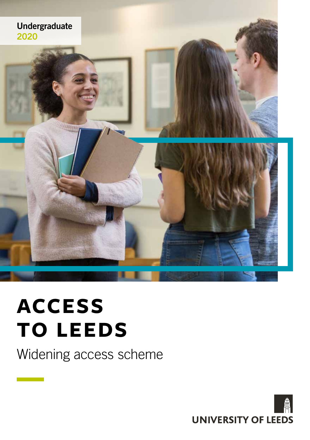

# **ACCESS TO LEEDS**

Widening access scheme

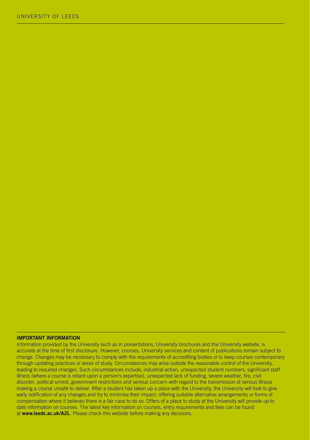#### **IMPORTANT INFORMATION**

Information provided by the University such as in presentations, University brochures and the University website, is accurate at the time of first disclosure. However, courses, University services and content of publications remain subject to change. Changes may be necessary to comply with the requirements of accrediting bodies or to keep courses contemporary through updating practices or areas of study. Circumstances may arise outside the reasonable control of the University, leading to required changes. Such circumstances include, industrial action, unexpected student numbers, significant staff illness (where a course is reliant upon a person's expertise), unexpected lack of funding, severe weather, fire, civil disorder, political unrest, government restrictions and serious concern with regard to the transmission of serious illness making a course unsafe to deliver. After a student has taken up a place with the University, the University will look to give early notification of any changes and try to minimise their impact, offering suitable alternative arrangements or forms of compensation where it believes there is a fair case to do so. Offers of a place to study at the University will provide up to date information on courses. The latest key information on courses, entry requirements and fees can be found at **www.leeds.ac.uk/A2L**. Please check this website before making any decisions.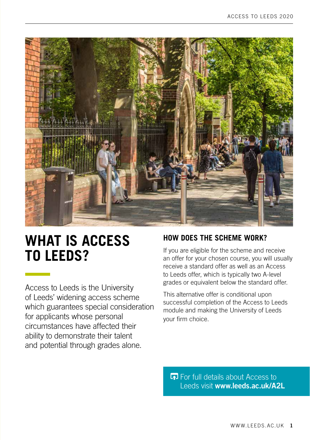

## **WHAT IS ACCESS TO LEEDS?**

Access to Leeds is the University of Leeds' widening access scheme which guarantees special consideration for applicants whose personal circumstances have affected their ability to demonstrate their talent and potential through grades alone.

#### **HOW DOES THE SCHEME WORK?**

If you are eligible for the scheme and receive an offer for your chosen course, you will usually receive a standard offer as well as an Access to Leeds offer, which is typically two A-level grades or equivalent below the standard offer.

This alternative offer is conditional upon successful completion of the Access to Leeds module and making the University of Leeds your firm choice.

**For full details about Access to** Leeds visit **www.leeds.ac.uk/A2L**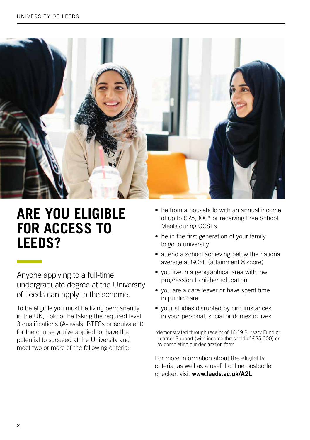

### **ARE YOU ELIGIBLE FOR ACCESS TO LEEDS?**

Anyone applying to a full-time undergraduate degree at the University of Leeds can apply to the scheme.

To be eligible you must be living permanently in the UK, hold or be taking the required level 3 qualifications (A-levels, BTECs or equivalent) for the course you've applied to, have the potential to succeed at the University and meet two or more of the following criteria:

- be from a household with an annual income of up to £25,000\* or receiving Free School Meals during GCSEs
- be in the first generation of your family to go to university
- attend a school achieving below the national average at GCSE (attainment 8 score)
- you live in a geographical area with low progression to higher education
- you are a care leaver or have spent time in public care
- your studies disrupted by circumstances in your personal, social or domestic lives

\*demonstrated through receipt of 16-19 Bursary Fund or Learner Support (with income threshold of £25,000) or by completing our declaration form

For more information about the eligibility criteria, as well as a useful online postcode checker, visit **www.leeds.ac.uk/A2L**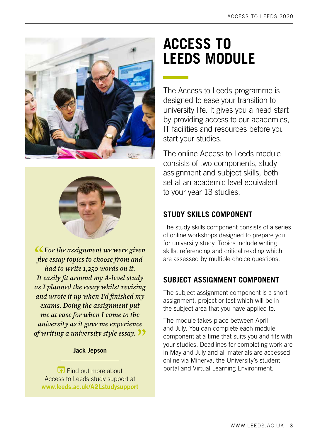



**"***For the assignment we were given five essay topics to choose from and had to write 1,250 words on it. It easily fit around my A-level study as I planned the essay whilst revising and wrote it up when I'd finished my exams. Doing the assignment put me at ease for when I came to the university as it gave me experience of writing a university style essay.***"**

#### **Jack Jepson**

**Find out more about** Access to Leeds study support at **[www.leeds.ac.uk/A](http://www.leeds.ac.uk/A2Lstudysupport)2Lstudysupport**

## **ACCESS TO LEEDS MODULE**

The Access to Leeds programme is designed to ease your transition to university life. It gives you a head start by providing access to our academics, IT facilities and resources before you start your studies.

The online Access to Leeds module consists of two components, study assignment and subject skills, both set at an academic level equivalent to your year 13 studies.

#### **STUDY SKILLS COMPONENT**

The study skills component consists of a series of online workshops designed to prepare you for university study. Topics include writing skills, referencing and critical reading which are assessed by multiple choice questions.

#### **SUBJECT ASSIGNMENT COMPONENT**

The subject assignment component is a short assignment, project or test which will be in the subject area that you have applied to.

The module takes place between April and July. You can complete each module component at a time that suits you and fits with your studies. Deadlines for completing work are in May and July and all materials are accessed online via Minerva, the University's student portal and Virtual Learning Environment.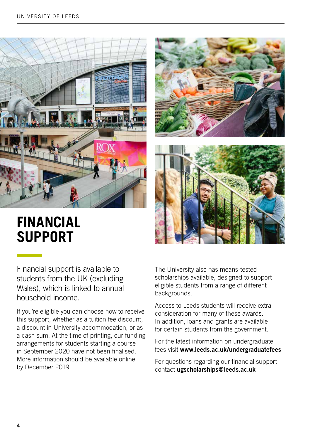

### **FINANCIAL SUPPORT**

Financial support is available to students from the UK (excluding Wales), which is linked to annual household income.

If you're eligible you can choose how to receive this support, whether as a tuition fee discount, a discount in University accommodation, or as a cash sum. At the time of printing, our funding arrangements for students starting a course in September 2020 have not been finalised. More information should be available online by December 2019.

The University also has means-tested scholarships available, designed to support eligible students from a range of different backgrounds.

Access to Leeds students will receive extra consideration for many of these awards. In addition, loans and grants are available for certain students from the government.

For the latest information on undergraduate fees visit **www.leeds.ac.uk/undergraduatefees**

For questions regarding our financial support contact **ugscholarships@leeds.ac.uk**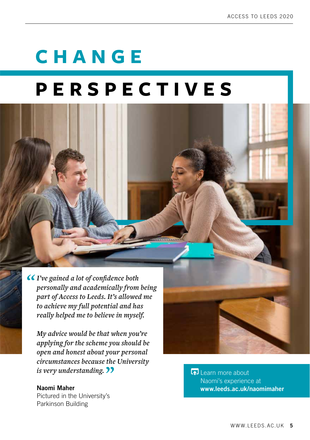# **CHANGE**

# **PERSPECTIVES**

*"I've gained a lot of confidence both personally and academically from being part of Access to Leeds. It's allowed me* 

*to achieve my full potential and has really helped me to believe in myself.*

*My advice would be that when you're applying for the scheme you should be open and honest about your personal circumstances because the University is very understanding.*  $\bullet$ 

#### **Naomi Maher**

Pictured in the University's Parkinson Building

Learn more about Naomi's experience at **www.leeds.ac.uk/naomimaher**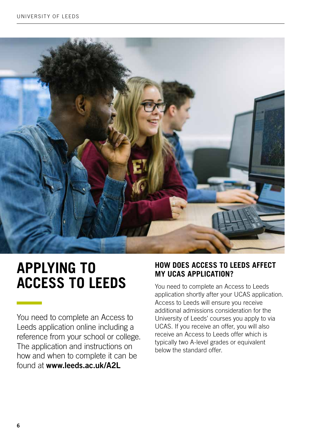

## **APPLYING TO ACCESS TO LEEDS**

You need to complete an Access to Leeds application online including a reference from your school or college. The application and instructions on how and when to complete it can be found at **www.leeds.ac.uk/A2L**

#### **HOW DOES ACCESS TO LEEDS AFFECT MY UCAS APPLICATION?**

You need to complete an Access to Leeds application shortly after your UCAS application. Access to Leeds will ensure you receive additional admissions consideration for the University of Leeds' courses you apply to via UCAS. If you receive an offer, you will also receive an Access to Leeds offer which is typically two A-level grades or equivalent below the standard offer.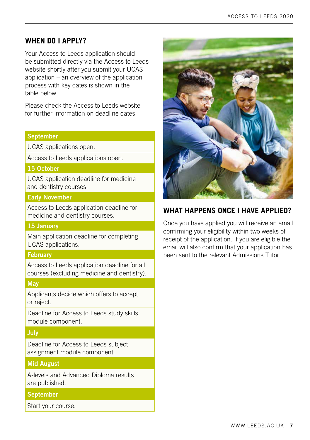#### **WHEN DO I APPLY?**

Your Access to Leeds application should be submitted directly via the Access to Leeds website shortly after you submit your UCAS application – an overview of the application process with key dates is shown in the table below.

Please check the Access to Leeds website for further information on deadline dates.

#### **September**

UCAS applications open.

Access to Leeds applications open.

#### **15 October**

UCAS application deadline for medicine and dentistry courses.

#### **Early November**

Access to Leeds application deadline for medicine and dentistry courses.

#### **15 January**

Main application deadline for completing UCAS applications.

#### **February**

Access to Leeds application deadline for all courses (excluding medicine and dentistry).

#### **May**

Applicants decide which offers to accept or reject.

Deadline for Access to Leeds study skills module component.

#### **July**

Deadline for Access to Leeds subject assignment module component.

#### **Mid August**

A-levels and Advanced Diploma results are published.

#### **September**

Start your course.



#### **WHAT HAPPENS ONCE I HAVE APPLIED?**

Once you have applied you will receive an email confirming your eligibility within two weeks of receipt of the application. If you are eligible the email will also confirm that your application has been sent to the relevant Admissions Tutor.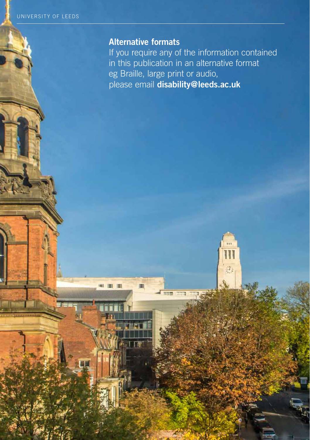**8**

### **Alternative formats**

**IMI** 

--

If you require any of the information contained in this publication in an alternative format eg Braille, large print or audio, please email **disability@leeds.ac.uk**

크.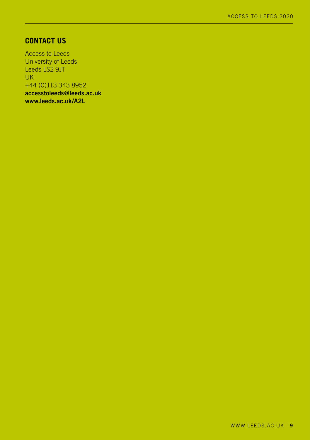#### **CONTACT US**

Access to Leeds University of Leeds Leeds LS2 9JT UK +44 (0)113 343 8952 **[accesstoleeds@leeds.ac.uk](mailto:accesstoleeds%40leeds.ac.uk?subject=) [www.leeds.ac.uk/A2L](http://www.leeds.ac.uk/A2L)**